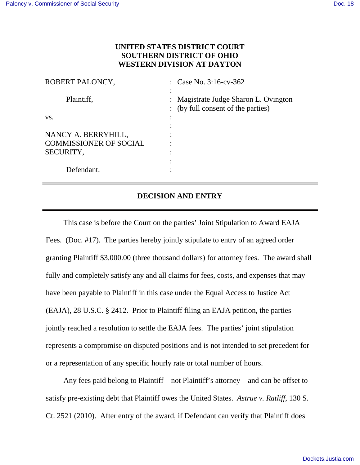## **UNITED STATES DISTRICT COURT SOUTHERN DISTRICT OF OHIO WESTERN DIVISION AT DAYTON**

| ROBERT PALONCY,               | : Case No. $3:16$ -cv- $362$                                                |
|-------------------------------|-----------------------------------------------------------------------------|
| Plaintiff,                    | : Magistrate Judge Sharon L. Ovington<br>: (by full consent of the parties) |
| VS.                           |                                                                             |
|                               |                                                                             |
| NANCY A. BERRYHILL,           |                                                                             |
| <b>COMMISSIONER OF SOCIAL</b> |                                                                             |
| SECURITY,                     |                                                                             |
|                               |                                                                             |
| Defendant.                    |                                                                             |

## **DECISION AND ENTRY**

This case is before the Court on the parties' Joint Stipulation to Award EAJA Fees. (Doc. #17). The parties hereby jointly stipulate to entry of an agreed order granting Plaintiff \$3,000.00 (three thousand dollars) for attorney fees. The award shall fully and completely satisfy any and all claims for fees, costs, and expenses that may have been payable to Plaintiff in this case under the Equal Access to Justice Act (EAJA), 28 U.S.C. § 2412. Prior to Plaintiff filing an EAJA petition, the parties jointly reached a resolution to settle the EAJA fees. The parties' joint stipulation represents a compromise on disputed positions and is not intended to set precedent for or a representation of any specific hourly rate or total number of hours.

Any fees paid belong to Plaintiff—not Plaintiff's attorney—and can be offset to satisfy pre-existing debt that Plaintiff owes the United States. *Astrue v. Ratliff*, 130 S. Ct. 2521 (2010). After entry of the award, if Defendant can verify that Plaintiff does